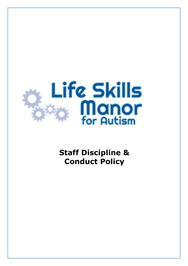

**Staff Discipline & Conduct Policy**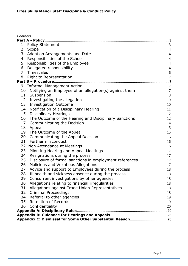| Contents       |                                                         |                  |
|----------------|---------------------------------------------------------|------------------|
|                |                                                         |                  |
| 1              | <b>Policy Statement</b>                                 | 3                |
| 2              | Scope                                                   | $\overline{4}$   |
| 3              | Adoption Arrangements and Date                          | $\overline{4}$   |
| 4              | Responsibilities of the School                          | $\overline{4}$   |
| 5              | Responsibilities of the Employee                        | $\overline{4}$   |
| 6              | Delegated responsibility                                | $\overline{4}$   |
| $\overline{7}$ | Timescales                                              | 6                |
| 8              | Right to Representation                                 | $\boldsymbol{7}$ |
|                | Part B - Procedure                                      |                  |
|                | 9 Informal Management Action                            | $\tau$           |
| 10             | Notifying an Employee of an allegation(s) against them  | $\boldsymbol{7}$ |
| 11             | Suspension                                              | $8\,$            |
| 12             | Investigating the allegation                            | 9                |
| 13             | <b>Investigation Outcome</b>                            | 10               |
| 14             | Notification of a Disciplinary Hearing                  | 11               |
| 15             | <b>Disciplinary Hearings</b>                            | 12               |
| 16             | The Outcome of the Hearing and Disciplinary Sanctions   | 12               |
| 17             | Communicating the Decision                              | 14               |
| 18             | Appeal                                                  | 15               |
| 19             | The Outcome of the Appeal                               | 15               |
| 20             | Communicating the Appeal Decision                       | 16               |
| 21             | Further misconduct                                      | 16               |
| 22             | Non Attendance at Meetings                              | 16               |
| 23             | Minuting Hearing and Appeal Meetings                    | 17               |
| 24             | Resignations during the process                         | 17               |
| 25             | Disclosure of formal sanctions in employment references | 17               |
| 26             | Malicious and Vexatious Allegations                     | 17               |
| 27             | Advice and support to Employees during the process      | 18               |
| 28             | Ill health and sickness absence during the process      | 18               |
| 29             | Concurrent investigations by other agencies             | 18               |
| 30             | Allegations relating to financial irregularities        | 18               |
| 31             | Allegations against Trade Union Representatives         | 18               |
| 32             | <b>Criminal Proceedings</b>                             | 18               |
| 34             | Referral to other agencies                              | 19               |
| 35             | <b>Retention of Records</b>                             | 19               |
| 36             | Confidentiality                                         | 20               |
|                |                                                         |                  |
|                |                                                         |                  |
|                |                                                         |                  |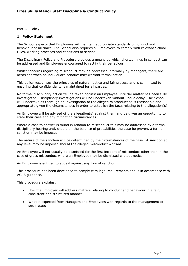Part A - Policy

# **1 Policy Statement**

The School expects that Employees will maintain appropriate standards of conduct and behaviour at all times. The School also requires all Employees to comply with relevant School rules, working practices and conditions of service.

The Disciplinary Policy and Procedure provides a means by which shortcomings in conduct can be addressed and Employees encouraged to rectify their behaviour.

Whilst concerns regarding misconduct may be addressed informally by managers, there are occasions when an individual's conduct may warrant formal action.

This policy recognises the principles of natural justice and fair process and is committed to ensuring that confidentiality is maintained for all parties.

No formal disciplinary action will be taken against an Employee until the matter has been fully investigated. Disciplinary investigations will be undertaken without undue delay. The School will undertake as thorough an investigation of the alleged misconduct as is reasonable and appropriate given the circumstances in order to establish the facts relating to the allegation(s).

An Employee will be advised of the allegation(s) against them and be given an opportunity to state their case and any mitigating circumstances.

Where a case to answer is found in relation to misconduct this may be addressed by a formal disciplinary hearing and, should on the balance of probabilities the case be proven, a formal sanction may be imposed.

The nature of the sanction will be determined by the circumstances of the case. A sanction at any level may be imposed should the alleged misconduct warrant.

An Employee will not usually be dismissed for the first incident of misconduct other than in the case of gross misconduct where an Employee may be dismissed without notice.

An Employee is entitled to appeal against any formal sanction.

This procedure has been developed to comply with legal requirements and is in accordance with ACAS guidance.

This procedure explains:

- How the Employer will address matters relating to conduct and behaviour in a fair, consistent and structured manner
- What is expected from Managers and Employees with regards to the management of such issues.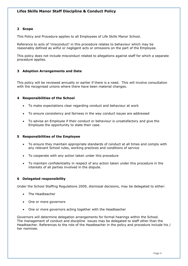## **2 Scope**

This Policy and Procedure applies to all Employees of Life Skills Manor School.

Reference to acts of 'misconduct' in this procedure relates to behaviour which may be reasonably defined as wilful or negligent acts or omissions on the part of the Employee.

This policy does not include misconduct related to allegations against staff for which a separate procedure applies.

# **3 Adoption Arrangements and Date**

This policy will be reviewed annually or earlier if there is a need. This will involve consultation with the recognised unions where there have been material changes.

### **4 Responsibilities of the School**

- To make expectations clear regarding conduct and behaviour at work
- To ensure consistency and fairness in the way conduct issues are addressed
- To advise an Employee if their conduct or behaviour is unsatisfactory and give the Employee the opportunity to state their case.

## **5 Responsibilities of the Employee**

- To ensure they maintain appropriate standards of conduct at all times and comply with any relevant School rules, working practices and conditions of service
- To cooperate with any action taken under this procedure
- To maintain confidentiality in respect of any action taken under this procedure in the interests of all parties involved in the dispute.

## **6 Delegated responsibility**

Under the School Staffing Regulations 2009, dismissal decisions, may be delegated to either:

- The Headteacher
- One or more governors
- One or more governors acting together with the Headteacher

Governors will determine delegation arrangements for formal hearings within the School. The management of conduct and discipline issues may be delegated to staff other than the Headteacher. References to the role of the Headteacher in the policy and procedure include his / her nominee.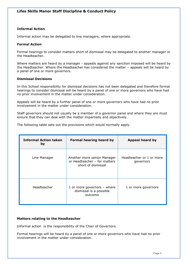# **Informal Action**

Informal action may be delegated to line managers, where appropriate.

### **Formal Action**

Formal hearings to consider matters short of dismissal may be delegated to another manager or the Headteacher.

Where matters are heard by a manager - appeals against any sanction imposed will be heard by the Headteacher. Where the Headteacher has considered the matter – appeals will be heard by a panel of one or more governors.

### **Dismissal Decisions**

In this School responsibility for dismissal decisions has not been delegated and therefore formal hearings to consider dismissal will be heard by a panel of one or more governors who have had no prior involvement in the matter under consideration.

Appeals will be heard by a further panel of one or more governors who have had no prior involvement in the matter under consideration.

Staff governors should not usually be a member of a governor panel and where they are must ensure that they can deal with the matter impartially and objectively.

The following table sets out the provisions which would normally apply.

| <b>Informal Action taken</b><br>by | Formal hearing heard by                                                           | <b>Appeal heard by</b>                |
|------------------------------------|-----------------------------------------------------------------------------------|---------------------------------------|
| Line Manager                       | Another more senior Manager<br>or Headteacher - for matters<br>short of dismissal | Headteacher or 1 or more<br>governors |
| Headteacher                        | 1 or more governors - where<br>dismissal is a possible<br>outcome                 | 1 or more governors                   |

## **Matters relating to the Headteacher**

Informal action is the responsibility of the Chair of Governors.

Formal hearings will be heard by a panel of one or more governors who have had no prior involvement in the matter under consideration.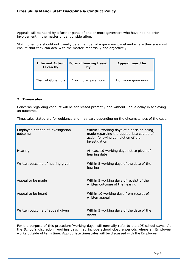Appeals will be heard by a further panel of one or more governors who have had no prior involvement in the matter under consideration.

Staff governors should not usually be a member of a governor panel and where they are must ensure that they can deal with the matter impartially and objectively.

| <b>Informal Action</b><br>taken by | <b>Formal hearing heard</b><br>bv | Appeal heard by     |
|------------------------------------|-----------------------------------|---------------------|
| Chair of Governors                 | 1 or more governors               | 1 or more governors |

# **7 Timescales**

Concerns regarding conduct will be addressed promptly and without undue delay in achieving an outcome.

Timescales stated are for guidance and may vary depending on the circumstances of the case.

| Employee notified of investigation<br>outcome | Within 5 working days of a decision being<br>made regarding the appropriate course of<br>action following completion of the<br>investigation |
|-----------------------------------------------|----------------------------------------------------------------------------------------------------------------------------------------------|
| Hearing                                       | At least 10 working days notice given of<br>hearing date                                                                                     |
| Written outcome of hearing given              | Within 5 working days of the date of the<br>hearing                                                                                          |
| Appeal to be made                             | Within 5 working days of receipt of the<br>written outcome of the hearing                                                                    |
| Appeal to be heard                            | Within 10 working days from receipt of<br>written appeal                                                                                     |
| Written outcome of appeal given               | Within 5 working days of the date of the<br>appeal                                                                                           |

For the purpose of this procedure 'working days' will normally refer to the 195 school days. At the School's discretion, working days may include school closure periods where an Employee works outside of term time. Appropriate timescales will be discussed with the Employee.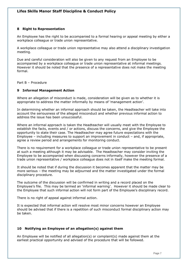## **8 Right to Representation**

An Employee has the right to be accompanied to a formal hearing or appeal meeting by either a workplace colleague or trade union representative.

A workplace colleague or trade union representative may also attend a disciplinary investigation meeting.

Due and careful consideration will also be given to any request from an Employee to be accompanied by a workplace colleague or trade union representative at informal meetings. However it should be noted that the presence of a representative does not make the meeting formal.

Part B – Procedure

## **9 Informal Management Action**

Where an allegation of misconduct is made, consideration will be given as to whether it is appropriate to address the matter informally by means of 'management action'.

In determining whether an informal approach should be taken, the Headteacher will take into account the seriousness of the alleged misconduct and whether previous informal action to address the issue has been unsuccessful.

Where an informal approach is taken the Headteacher will usually meet with the Employee to establish the facts, events and / or actions, discuss the concerns, and give the Employee the opportunity to state their case. The Headteacher may agree future expectations with the Employee – including measures to support an improvement in conduct – and, if appropriate, agree a review period and arrangements for monitoring conduct.

There is no requirement for a workplace colleague or trade union representative to be present at such a meeting although it may be advisable. The Headteacher may consider inviting the Employee to be accompanied when discussing concerns informally, however the presence of a trade union representative / workplace colleague does not in itself make the meeting formal.

It should be noted that if during the discussion it becomes apparent that the matter may be more serious – the meeting may be adjourned and the matter investigated under the formal disciplinary procedure.

The outcome of the discussion will be confirmed in writing and a record placed on the Employee's file. This may be termed an 'informal warning'. However it should be made clear to the Employee that such informal action will not form part of the Employee's disciplinary record.

There is no right of appeal against informal action.

It is expected that informal action will resolve most minor concerns however an Employee should be advised that if there is a repetition of such misconduct formal disciplinary action may be taken.

## **10 Notifying an Employee of an allegation(s) against them**

An Employee will be notified of all allegation(s) or complaint(s) made against them at the earliest practical opportunity and advised of the procedure that will be followed.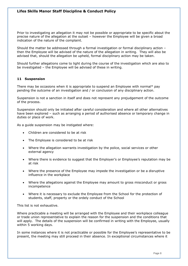Prior to investigating an allegation it may not be possible or appropriate to be specific about the precise nature of the allegation at the outset – however the Employee will be given a broad indication of the nature of the complaint.

Should the matter be addressed through a formal investigation or formal disciplinary action – then the Employee will be advised of the nature of the allegation in writing. They will also be advised that, should the allegation be upheld, formal disciplinary action may be taken.

Should further allegations come to light during the course of the investigation which are also to be investigated – the Employee will be advised of these in writing.

## **11 Suspension**

There may be occasions when it is appropriate to suspend an Employee with normal\* pay pending the outcome of an investigation and / or conclusion of any disciplinary action.

Suspension is not a sanction in itself and does not represent any prejudgement of the outcome of the process.

Suspension should only be initiated after careful consideration and where all other alternatives have been explored – such as arranging a period of authorised absence or temporary change in duties or place of work.

As a guide suspension may be instigated where:

- Children are considered to be at risk
- The Employee is considered to be at risk
- Where the allegation warrants investigation by the police, social services or other external agency
- Where there is evidence to suggest that the Employer's or Employee's reputation may be at risk
- Where the presence of the Employee may impede the investigation or be a disruptive influence in the workplace
- Where the allegations against the Employee may amount to gross misconduct or gross incompetence
- Where it is necessary to exclude the Employee from the School for the protection of students, staff, property or the ordely conduct of the School

This list is not exhaustive.

Where practicable a meeting will be arranged with the Employee and their workplace colleague or trade union representative to explain the reason for the suspension and the conditions that will apply. The details of the suspension will be confirmed in writing with the Employee, usually within 5 working days.

In some instances where it is not practicable or possible for the Employee's representative to be present, the meeting may still proceed in their absence. In exceptional circumstances where it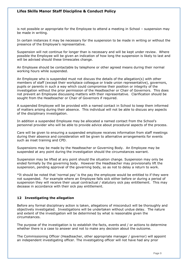is not possible or appropriate for the Employee to attend a meeting in School – suspension may be made in writing.

In certain instances it may be necessary for the suspension to be made in writing or without the presence of the Employee's representative.

Suspension will not continue for longer than is necessary and will be kept under review. Where possible the Employee will be given an indication of how long the suspension is likely to last and will be advised should these timescales change.

An Employee should be contactable by telephone or other agreed means during their normal working hours while suspended.

An Employee who is suspended must not discuss the details of the allegation(s) with other members of staff (except their workplace colleague or trade union representative), governors, pupils or parents in such a way which could compromise their position or integrity of the investigation without the prior permission of the Headteacher or Chair of Governors. This does not prevent an Employee discussing matters with their representative. Clarification should be sought from the Headteacher or Chair of Governors if required.

A suspended Employee will be provided with a named contact in School to keep them informed of matters arising during their absence. This individual will not be able to discuss any aspects of the disciplinary investigation.

In addition a suspended Employee may be allocated a named contact from the School's personnel provider who will be able to provide advice about procedural aspects of the process.

Care will be given to ensuring a suspended employee receives information from staff meetings during their absence and consideration will be given to alternative arrangements for events such as inset training and CPD.

Suspensions may be made by the Headteacher or Governing Body. An Employee may be suspended at any point during the investigation should the circumstances warrant.

Suspension may be lifted at any point should the situation change. Suspension may only be ended formally by the governing body. However the Headteacher may provisionally lift the suspension, pending approval of the governing body, so as not to delay a return to work.

\*It should be noted that 'normal pay' is the pay the employee would be entitled to if they were not suspended. For example where an Employee falls sick either before or during a period of suspension they will receive their usual contractual / statutory sick pay entitlement. This may decease in accordance with their sick pay entitlement.

# **12 Investigating the allegation**

Before any formal disciplinary action is taken, allegations of misconduct will be thoroughly and objectively investigated. Investigations will be undertaken without undue delay. The nature and extent of the investigation will be determined by what is reasonable given the circumstances.

The purpose of the investigation is to establish the facts, events and / or actions to determine whether there is a case to answer and not to make any decision about the outcome.

The Commissioning Officer (Headteacher, other appropriate manager / governor) will appoint an independent investigating officer. The investigating officer will not have had any prior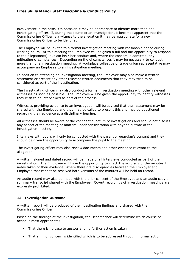involvement in the case. On occasion it may be appropriate to identify more than one investigating officer. If, during the course of an investigation, it becomes apparent that the Commissioning Officer is a witness to the allegation it may be appropriate for a new Commissioning Officer to be identified.

The Employee will be invited to a formal investigation meeting with reasonable notice during working hours. At this meeting the Employee will be given a full and fair opportunity to respond to the allegation(s), explain his / her conduct and, where the concern is admitted, any mitigating circumstances. Depending on the circumstances it may be necessary to conduct more than one investigation meeting. A workplace colleague or trade union representative may accompany an Employee to an investigation meeting.

In addition to attending an investigation meeting, the Employee may also make a written statement or present any other relevant written documents that they may wish to be considered as part of the investigation.

The investigating officer may also conduct a formal investigation meeting with other relevant witnesses as soon as possible. The Employee will be given the opportunity to identify witnesses they wish to be interviewed as part of the process.

Witnesses providing evidence to an investigation will be advised that their statement may be shared with the Employee and they may be called to present this and may be questioned regarding their evidence at a disciplinary hearing.

All witnesses should be aware of the confidential nature of investigations and should not discuss any aspect of the meeting or matters under consideration with anyone outside of the investigation meeting.

Interviews with pupils will only be conducted with the parent or guardian's consent and they should be given the opportunity to accompany the pupil to the meeting.

The investigating officer may also review documents and other evidence relevant to the allegation.

A written, signed and dated record will be made of all interviews conducted as part of the investigation. The Employee will have the opportunity to check the accuracy of the minutes / notes taken of their evidence. Where there are discrepancies between the Employer and Employee that cannot be resolved both versions of the minutes will be held on record.

An audio record may also be made with the prior consent of the Employee and an audio copy or summary transcript shared with the Employee. Covert recordings of investigation meetings are expressly prohibited.

# **13 Investigation Outcome**

A written report will be produced of the investigation findings and shared with the Commissioning Officer.

Based on the findings of the investigation, the Headteacher will determine which course of action is most appropriate:

- That there is no case to answer and no further action is taken
- That a minor concern is identified which is to be addressed through informal action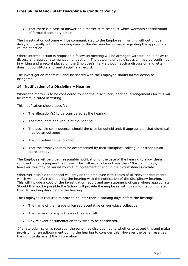• That there is a case to answer on a matter of misconduct which warrants consideration of formal disciplinary action.

The investigation outcome will be communicated to the Employee in writing without undue delay and usually within 5 working days of the decision being made regarding the appropriate course of action.

Where informal action is proposed a follow up meeting will be arranged without undue delay to discuss any appropriate management action. The outcome of this discussion may be confirmed in writing and a record placed on the Employee's file – although such a discussion and letter does not constitute a formal disciplinary record.

The investigation report will only be shared with the Employee should formal action be instigated.

# **14 Notification of a Disciplinary Hearing**

Where the matter is to be considered by a formal disciplinary hearing, arrangements for this will be communicated in writing.

This notification should specify:

- The allegation(s) to be considered at the hearing
- The time, date and venue of the hearing
- The possible consequences should the case be upheld and, if appropriate, that dismissal may be an outcome
- The procedure to be followed
- That the Employee may be accompanied by their workplace colleague or trade union representative.

The Employee will be given reasonable notification of the date of the hearing to allow them sufficient time to prepare their case. This will usually be not less than 10 working days, however this may be varied by mutual agreement or should the circumstances dictate.

Wherever possible the School will provide the Employee with copies of all relevant documents which will be referred to during the hearing with the notification of the disciplinary hearing. This will include a copy of the investigation report and any statement of case where appropriate. Should this not be possible the School will provide the employee with this information no later than 10 working days before the hearing.

The Employee is required to provide no later than 5 working days before the hearing:

- The name of their trade union representative or workplace colleague
- The name(s) of any witnesses they are calling
- Any relevant documentation they wish to be considered.

If a late submission is received, the panel has discretion as to whether to accept this and make provision for an adjournment during the hearing to consider this. However the panel reserves the right to disregard this information.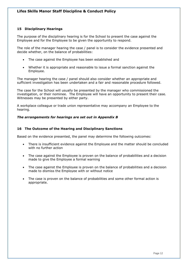# **15 Disciplinary Hearings**

The purpose of the disciplinary hearing is for the School to present the case against the Employee and for the Employee to be given the opportunity to respond.

The role of the manager hearing the case / panel is to consider the evidence presented and decide whether, on the balance of probabilities:

- The case against the Employee has been established and
- Whether it is appropriate and reasonable to issue a formal sanction against the Employee.

The manager hearing the case / panel should also consider whether an appropriate and sufficient investigation has been undertaken and a fair and reasonable procedure followed.

The case for the School will usually be presented by the manager who commissioned the investigation, or their nominee. The Employee will have an opportunity to present their case. Witnesses may be presented by either party.

A workplace colleague or trade union representative may accompany an Employee to the hearing.

## *The arrangements for hearings are set out in Appendix B*

## **16 The Outcome of the Hearing and Disciplinary Sanctions**

Based on the evidence presented, the panel may determine the following outcomes:

- There is insufficient evidence against the Employee and the matter should be concluded with no further action
- The case against the Employee is proven on the balance of probabilities and a decision made to give the Employee a formal warning
- The case against the Employee is proven on the balance of probabilities and a decision made to dismiss the Employee with or without notice
- The case is proven on the balance of probabilities and some other formal action is appropriate.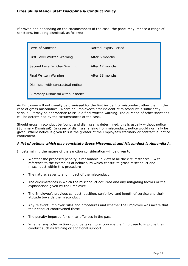If proven and depending on the circumstances of the case, the panel may impose a range of sanctions, including dismissal, as follows:

| Level of Sanction                 | Normal Expiry Period |
|-----------------------------------|----------------------|
| First Level Written Warning       | After 6 months       |
| Second Level Written Warning      | After 12 months      |
| Final Written Warning             | After 18 months      |
| Dismissal with contractual notice |                      |
| Summary Dismissal without notice  |                      |

An Employee will not usually be dismissed for the first incident of misconduct other than in the case of gross misconduct. Where an Employee's first incident of misconduct is sufficiently serious – it may be appropriate to issue a final written warning. The duration of other sanctions will be determined by the circumstances of the case.

Should gross misconduct be found, and dismissal is determined, this is usually without notice (Summary Dismissal). In cases of dismissal arising from misconduct, notice would normally be given. Where notice is given this is the greater of the Employee's statutory or contractual notice entitlement.

# *A list of actions which may constitute Gross Misconduct and Misconduct is Appendix A.*

In determining the nature of the sanction consideration will be given to:

- Whether the proposed penalty is reasonable in view of all the circumstances with reference to the examples of behaviours which constitute gross misconduct and misconduct within this procedure
- The nature, severity and impact of the misconduct
- The circumstances in which the misconduct occurred and any mitigating factors or the explanations given by the Employee
- The Employee's previous conduct, position, seniority, and length of service and their attitude towards the misconduct
- Any relevant Employer rules and procedures and whether the Employee was aware that their conduct contravened these
- The penalty imposed for similar offences in the past
- Whether any other action could be taken to encourage the Employee to improve their conduct such as training or additional support.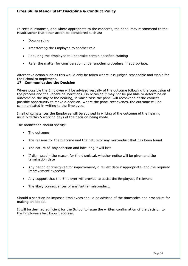In certain instances, and where appropriate to the concerns, the panel may recommend to the Headteacher that other action be considered such as:

- Downgrading
- Transferring the Employee to another role
- Requiring the Employee to undertake certain specified training
- Refer the matter for consideration under another procedure, if appropriate.

Alternative action such as this would only be taken where it is judged reasonable and viable for the School to implement.

# **17 Communicating the Decision**

Where possible the Employee will be advised verbally of the outcome following the conclusion of the process and the Panel's deliberations. On occasion it may not be possible to determine an outcome on the day of the hearing, in which case the panel will reconvene at the earliest possible opportunity to make a decision. Where the panel reconvenes, the outcome will be communicated in writing to the Employee.

In all circumstances the Employee will be advised in writing of the outcome of the hearing usually within 5 working days of the decision being made.

The notification should specify:

- The outcome
- The reasons for the outcome and the nature of any misconduct that has been found
- The nature of any sanction and how long it will last
- If dismissed the reason for the dismissal, whether notice will be given and the termination date
- Any period of time given for improvement, a review date if appropriate, and the required improvement expected
- Any support that the Employer will provide to assist the Employee, if relevant
- The likely consequences of any further misconduct.

Should a sanction be imposed Employees should be advised of the timescales and procedure for making an appeal.

It will be deemed sufficient for the School to issue the written confirmation of the decision to the Employee's last known address.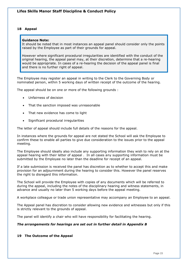### **18 Appeal**

#### **Guidance Note:**

It should be noted that in most instances an appeal panel should consider only the points raised by the Employee as part of their grounds for appeal.

However where significant procedural irregularities are identified with the conduct of the original hearing, the appeal panel may, at their discretion, determine that a re-hearing would be appropriate. In cases of a re-hearing the decision of the appeal panel is final and there is no further right of appeal.

The Employee may register an appeal in writing to the Clerk to the Governing Body or nominated person, within 5 working days of written receipt of the outcome of the hearing.

The appeal should be on one or more of the following grounds :

- Unfairness of decision
- That the sanction imposed was unreasonable
- That new evidence has come to light
- Significant procedural irregularities

The letter of appeal should include full details of the reasons for the appeal.

In instances where the grounds for appeal are not stated the School will ask the Employee to confirm these to enable all parties to give due consideration to the issues prior to the appeal meeting.

The Employee should ideally also include any supporting information they wish to rely on at the appeal hearing with their letter of appeal . In all cases any supporting information must be submitted by the Employee no later than the deadline for receipt of an appeal.

If a late submission is received the panel has discretion as to whether to accept this and make provision for an adjournment during the hearing to consider this. However the panel reserves the right to disregard this information.

The School will provide the Employee with copies of any documents which will be referred to during the appeal, including the notes of the disciplinary hearing and witness statements, in advance and usually no later than 5 working days before the appeal meeting.

A workplace colleague or trade union representative may accompany an Employee to an appeal.

The Appeal panel has discretion to consider allowing new evidence and witnesses but only if this is strictly relevant to the grounds of appeal.

The panel will identify a chair who will have responsibility for facilitating the hearing.

#### *The arrangements for hearings are set out in further detail in Appendix B*

#### **19 The Outcome of the Appeal**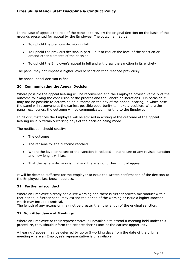In the case of appeals the role of the panel is to review the original decision on the basis of the grounds presented for appeal by the Employee. The outcome may be:

- To uphold the previous decision in full
- To uphold the previous decision in part but to reduce the level of the sanction or amend other elements of the decision
- To uphold the Employee's appeal in full and withdraw the sanction in its entirety.

The panel may not impose a higher level of sanction than reached previously.

The appeal panel decision is final.

### **20 Communicating the Appeal Decision**

Where possible the appeal hearing will be reconvened and the Employee advised verbally of the outcome following the conclusion of the process and the Panel's deliberations. On occasion it may not be possible to determine an outcome on the day of the appeal hearing, in which case the panel will reconvene at the earliest possible opportunity to make a decision. Where the panel reconvenes, the outcome will be communicated in writing to the Employee.

In all circumstances the Employee will be advised in writing of the outcome of the appeal hearing usually within 5 working days of the decision being made.

The notification should specify:

- The outcome
- The reasons for the outcome reached
- Where the level or nature of the sanction is reduced the nature of any revised sanction and how long it will last
- That the panel's decision is final and there is no further right of appeal.

It will be deemed sufficient for the Employer to issue the written confirmation of the decision to the Employee's last known address.

### **21 Further misconduct**

Where an Employee already has a live warning and there is further proven misconduct within that period, a further panel may extend the period of the warning or issue a higher sanction which may include dismissal.

The length of any extension may not be greater than the length of the original sanction.

### **22 Non Attendance at Meetings**

Where an Employee or their representative is unavailable to attend a meeting held under this procedure, they should inform the Headteacher / Panel at the earliest opportunity.

A hearing / appeal may be deferred by up to 5 working days from the date of the original meeting where an Employee's representative is unavailable.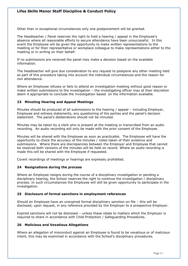Other than in exceptional circumstances only one postponement will be granted.

The Headteacher / Panel reserves the right to hold a hearing / appeal in the Employee's absence where all reasonable efforts to secure attendance have been unsuccessful. In this event the Employee will be given the opportunity to make written representations to the meeting or for their representative or workplace colleague to make representations either to the meeting or in writing on their behalf.

If no submissions are received the panel may make a decision based on the available information.

The Headteacher will give due consideration to any request to postpone any other meeting held as part of this procedure taking into account the individual circumstances and the reason for non attendance.

Where an Employee refuses or fails to attend an investigation meeting without good reason or make written submissions to the investigation – the investigating officer may at their discretion deem it appropriate to conclude the investigation based on the information available.

# **23 Minuting Hearing and Appeal Meetings**

Minutes should be produced of all submissions to the hearing / appeal – including Employer, Employee and witness statements, any questioning of the parties and the panel's decision statement. The panel's deliberations should not be minuted.

Minutes may be taken by a clerk who is present at the meeting or transcribed from an audio recording. An audio recording will only be made with the prior consent of the Employee.

Minutes will be shared with the Employee as soon as practicable. The Employee will have the opportunity to check the accuracy of the minutes / notes taken of their evidence and submissions. Where there are discrepancies between the Employer and Employee that cannot be resolved both versions of the minutes will be held on record. Where an audio recording is made this will be shared with the Employee if requested.

Covert recordings of meetings or hearings are expressly prohibited.

# **24 Resignations during the process**

Where an Employee resigns during the course of a disciplinary investigation or pending a disciplinary hearing, the School reserves the right to continue the investigation / disciplinary process. In such circumstances the Employee will still be given opportunity to participate in the investigation.

# **25 Disclosure of formal sanctions in employment references**

Should an Employee have an unexpired formal disciplinary sanction on file – this will be disclosed, upon request, in any reference provided by the Employer to a prospective Employer.

Expired sanctions will not be disclosed – unless these relate to matters which the Employer is required to share in accordance with Child Protection / Safeguarding Procedures.

# **26 Malicious and Vexatious Allegations**

Where an allegation of misconduct against an Employee is found to be vexatious or of malicious intent, this may be examined in accordance with the School's disciplinary procedures.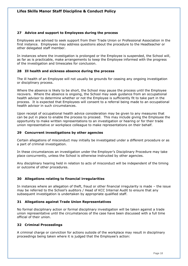# **27 Advice and support to Employees during the process**

Employees are advised to seek support from their Trade Union or Professional Association in the first instance. Employees may address questions about the procedure to the Headteacher or other delegated staff member.

In instances where the investigation is prolonged or the Employee is suspended, the School will, as far as is practicable, make arrangements to keep the Employee informed with the progress of the investigation and timescales for conclusion.

# **28 Ill health and sickness absence during the process**

The ill health of an Employee will not usually be grounds for ceasing any ongoing investigation or disciplinary process.

Where the absence is likely to be short, the School may pause the process until the Employee recovers. Where the absence is ongoing, the School may seek guidance from an occupational health advisor to determine whether or not the Employee is sufficiently fit to take part in the process. It is expected that Employees will consent to a referral being made to an occupational health advisor in such circumstances.

Upon receipt of occupational health advice consideration may be given to any measures that can be put in place to enable the process to proceed. This may include giving the Employee the opportunity to make written representations to an investigation or hearing or for their trade union representative or workplace colleague to make representations on their behalf.

# **29 Concurrent investigations by other agencies**

Certain allegations of misconduct may initially be investigated under a different procedure or as a part of criminal investigation.

In these circumstances an investigation under the Employer's Disciplinary Procedure may take place concurrently, unless the School is otherwise instructed by other agencies.

Any disciplinary hearing held in relation to acts of misconduct will be independent of the timing or outcome of other procedures.

# **30 Allegations relating to financial irregularities**

In instances where an allegation of theft, fraud or other financial irregularity is made – the issue may be referred to the School's auditors / Head of KCC Internal Audit to ensure that any subsequent investigation is undertaken by appropriate qualified staff.

## **31 Allegations against Trade Union Representatives**

No formal disciplinary action or formal disciplinary investigation will be taken against a trade union representative until the circumstances of the case have been discussed with a full time official of their union.

## **32 Criminal Proceedings**

A criminal charge or conviction for actions outside of the workplace may result in disciplinary proceedings being taken where it is judged that the Employee's action: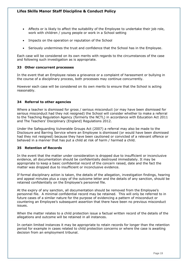- Affects or is likely to affect the suitability of the Employee to undertake their job role, work with children / young people or work in a School setting
- Impacts on the operation or reputation of the School
- Seriously undermines the trust and confidence that the School has in the Employee.

Each case will be considered on its own merits with regards to the circumstances of the case and following such investigation as is appropriate.

## **33 Other concurrent processes**

In the event that an Employee raises a grievance or a complaint of harassment or bullying in the course of a disciplinary process, both processes may continue concurrently.

However each case will be considered on its own merits to ensure that the School is acting reasonably.

# **34 Referral to other agencies**

Where a teacher is dismissed for gross / serious misconduct (or may have been dismissed for serious misconduct had they not resigned) the School will consider whether to make a referral to the Teaching Regulation Agency (formerly the NCTL) in accordance with Education Act 2011 and The Teachers' Disciplinary (England) Regulations 2012.

Under the Safeguarding Vulnerable Groups Act (2007) a referral may also be made to the Disclosure and Barring Service where an Employee is dismissed (or would have been dismissed had they not resigned) because they have been cautioned or convicted of a relevant offence or behaved in a manner that has put a child at risk of harm / harmed a child.

## **35 Retention of Records**

In the event that the matter under consideration is dropped due to insufficient or inconclusive evidence, all documentation should be confidentially destroyed immediately. It may be appropriate to keep a basic confidential record of the concern raised, date and the fact the matter was dropped due to insufficient or inconclusive evidence.

If formal disciplinary action is taken, the details of the allegation, investigation findings, hearing and appeal minutes plus a copy of the outcome letter and the details of any sanction, should be retained confidentially on the Employee's personnel file.

At the expiry of any sanction, all documentation should be removed from the Employee's personnel file. A minimal confidential record may be retained. This will only be referred to in future cases of a similar nature for the purpose of evidencing a pattern of misconduct or countering an Employee's subsequent assertion that there have been no previous misconduct issues.

When the matter relates to a child protection issue a factual written record of the details of the allegations and outcome will be retained in all instances.

In certain limited instances it may be appropriate to retain records for longer than the retention period for example in cases related to child protection concerns or where the case is awaiting decision from an employment tribunal.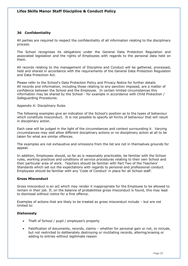## **36 Confidentiality**

All parties are required to respect the confidentiality of all information relating to the disciplinary process.

The School recognises its obligations under the General Data Protection Regulation and associated legislation and the rights of Employees with regards to the personal data held on them.

All records relating to the management of Discipline and Conduct will be gathered, processed, held and shared in accordance with the requirements of the General Data Protection Regulation and Data Protection Act.

Please refer to the School's Data Protection Policy and Privacy Notice for further details All records and information, including those relating to any sanction imposed, are a matter of confidence between the School and the Employee. In certain limited circumstances this information may be shared by the School - for example in accordance with Child Protection / Safeguarding Procedures.

## Appendix A: Disciplinary Rules

The following examples give an indication of the School's position as to the types of behaviour which constitute misconduct. It is not possible to specify all forms of behaviour that will result in disciplinary action.

Each case will be judged in the light of the circumstances and context surrounding it. Varying circumstances may well allow different disciplinary actions or no disciplinary action at all to be taken for what are similar offences.

The examples are not exhaustive and omissions from the list are not in themselves grounds for appeal.

In addition, Employees should, so far as is reasonably practicable, be familiar with the School rules, working practices and conditions of service procedures relating to their own School and their particular area of work. Teachers should be familiar with Part Two of the Teachers' Standards which set out the expectations with regards to personal and professional conduct. Employees should be familiar with any 'Code of Conduct' in place for all School staff.

## **Gross Misconduct**

Gross misconduct is an act which may render it inappropriate for the Employee to be allowed to remain in their job. If, on the balance of probabilities gross misconduct is found, this may lead to dismissal without notice for a first offence.

Examples of actions that are likely to be treated as gross misconduct include – but are not limited to:

## **Dishonesty**

- Theft of School / pupil / employee's property
- Falsification of documents, records, claims whether for personal gain or not, to include, but not restricted to deliberately destroying or mutilating records, altering/erasing or adding to entries without legitimate reason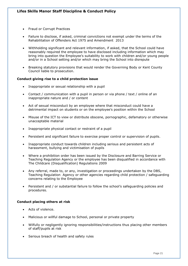- Fraud or Corrupt Practices
- Failure to disclose, if asked, criminal convictions not exempt under the terms of the Rehabilitation of Offenders Act 1975 and Amendment 2013
- Withholding significant and relevant information, if asked, that the School could have reasonably required the employee to have disclosed including information which may bring into question the Employee's suitability to work with children and/or young people and/or in a School setting and/or which may bring the School into disrepute
- Breaking statutory provisions that would render the Governing Body or Kent County Council liable to prosecution.

## **Conduct giving rise to a child protection issue**

- Inappropriate or sexual relationship with a pupil
- Contact / communication with a pupil in person or via phone / text / online of an inappropriate nature and / or content
- Act of sexual misconduct by an employee where that misconduct could have a detrimental impact on students or on the employee's position within the School
- Misuse of the ICT to view or distribute obscene, pornographic, defamatory or otherwise unacceptable material
- Inappropriate physical contact or restraint of a pupil
- Persistent and significant failure to exercise proper control or supervision of pupils.
- Inappropriate conduct towards children including serious and persistent acts of harassment, bullying and victimisation of pupils
- Where a prohibition order has been issued by the Disclosure and Barring Service or Teaching Regulation Agency or the employee has been disqualified in accordance with The Childcare (Disqualification) Regulations 2009
- Any referral, made to, or any, investigation or proceedings undertaken by the DBS, Teaching Regulation Agency or other agencies regarding child protection / safeguarding concerns relating to the Employee
- Persistent and / or substantial failure to follow the school's safeguarding policies and procedures.

## **Conduct placing others at risk**

- Acts of violence.
- Malicious or willful damage to School, personal or private property
- Wilfully or negligently ignoring responsibilities/instructions thus placing other members of staff/pupils at risk
- Serious breach of health and safety rules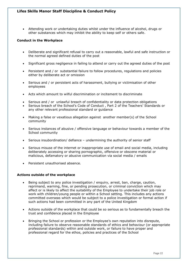• Attending work or undertaking duties whilst under the influence of alcohol, drugs or other substances which may inhibit the ability to keep self or others safe.

## **Conduct in the Workplace**

- Deliberate and significant refusal to carry out a reasonable, lawful and safe instruction or the normal agreed defined duties of the post
- Significant gross negligence in failing to attend or carry out the agreed duties of the post
- Persistent and / or substantial failure to follow procedures, regulations and policies either by deliberate act or omission
- Serious and / or persistent acts of harassment, bullying or victimisation of other employees
- Acts which amount to wilful discrimination or incitement to discriminate
- Serious and / or unlawful breach of confidentiality or data protection obligations
- Serious breach of the School's Code of Conduct , Part 2 of the Teachers' Standards or any other relevant professional standard or guidance
- Making a false or vexatious allegation against another member(s) of the School community
- Serious instances of abusive / offensive language or behaviour towards a member of the School community
- Serious insubordination/ defiance undermining the authority of senior staff
- Serious misuse of the internet or inappropriate use of email and social media, including deliberately accessing or sharing pornographic, offensive or obscene material or malicious, defamatory or abusive communication via social media / emails
- Persistent unauthorised absence.

## **Actions outside of the workplace**

- Being subject to any police investigation / enquiry, arrest, ban, charge, caution, reprimand, warning, fine, or pending prosecution, or criminal conviction which may affect or is likely to affect the suitability of the Employee to undertake their job role or work with children/young people or within a School setting. This includes any actions committed overseas which would be subject to a police investigation or formal action if such actions had been committed in any part of the United Kingdom
- Actions outside of the workplace that could be so serious as to fundamentally breach the trust and confidence placed in the Employee
- Bringing the School or profession or the Employee's own reputation into disrepute, including failure to observe reasonable standards of ethics and behaviour (or appropriate professional standards) within and outside work, or failure to have proper and professional regard for the ethos, policies and practices of the School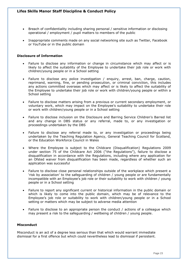- Breach of confidentiality including sharing personal / sensitive information or disclosing operational / employment / pupil matters to members of the public
- Inappropriate comments made on any social networking site such as Twitter, Facebook or YouTube or in the public domain

#### **Disclosure of Information**

- Failure to disclose any information or change in circumstance which may affect or is likely to affect the suitability of the Employee to undertake their job role or work with children/young people or in a School setting
- Failure to disclose any police investigation / enquiry, arrest, ban, charge, caution, reprimand, warning, fine, or pending prosecution, or criminal conviction, this includes any actions committed overseas which may affect or is likely to affect the suitability of the Employee to undertake their job role or work with children/young people or within a School setting
- Failure to disclose matters arising from a previous or current secondary employment, or voluntary work, which may impact on the Employee's suitability to undertake their role or work with children/young people or in a School setting
- Failure to disclose inclusion on the Disclosure and Barring Service Children's Barred list and any change in DBS status or any referral, made to, or any investigation or proceedings undertaken by the DBS
- Failure to disclose any referral made to, or any investigation or proceedings being undertaken by the Teaching Regulation Agency, General Teaching Council for Scotland, or the Education Workforce Council in Wales
- Where the Employee is subject to the Childcare (Disqualification) Regulations 2009 under section 75 of the Childcare Act 2006 ("the Regulations"), failure to disclose a disqualification in accordance with the Regulations, including where any application for an Ofsted waiver from disqualification has been made, regardless of whether such an application was successful
- Failure to disclose close personal relationships outside of the workplace which present a 'risk by association' to the safeguarding of children / young people or are fundamentally incompatible with an Employee's job role or their suitability to work with children / young people or in a School setting
- Failure to report any significant current or historical information in the public domain or which is likely to come into the public domain, which may be of relevance to the Employee's job role or suitability to work with children/young people or in a School setting or matters which may be subject to adverse media attention
- Failure to disclose to an appropriate person the conduct / actions of a colleague which may present a risk to the safeguarding / wellbeing of children / young people.

### **Misconduct**

Misconduct is an act of a degree less serious than that which would warrant immediate dismissal for a first offence but which could nevertheless lead to dismissal if persistent.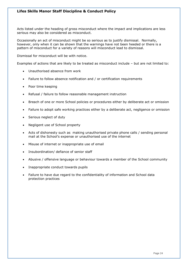Acts listed under the heading of gross misconduct where the impact and implications are less serious may also be considered as misconduct.

Occasionally an act of misconduct might be so serious as to justify dismissal. Normally, however, only when it can be shown that the warnings have not been heeded or there is a pattern of misconduct for a variety of reasons will misconduct lead to dismissal.

Dismissal for misconduct will be with notice.

Examples of actions that are likely to be treated as misconduct include – but are not limited to:

- Unauthorised absence from work
- Failure to follow absence notification and / or certification requirements
- Poor time keeping
- Refusal / failure to follow reasonable management instruction
- Breach of one or more School policies or procedures either by deliberate act or omission
- Failure to adopt safe working practices either by a deliberate act, negligence or omission
- Serious neglect of duty
- Negligent use of School property
- Acts of dishonesty such as making unauthorised private phone calls / sending personal mail at the School's expense or unauthorised use of the internet
- Misuse of internet or inappropriate use of email
- Insubordination/ defiance of senior staff
- Abusive / offensive language or behaviour towards a member of the School community
- Inappropriate conduct towards pupils
- Failure to have due regard to the confidentiality of information and School data protection practices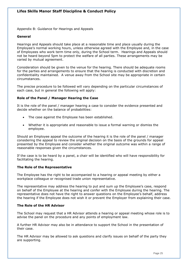Appendix B: Guidance for Hearings and Appeals

### **General**

Hearings and Appeals should take place at a reasonable time and place usually during the Employee's normal working hours, unless otherwise agreed with the Employee and, in the case of Employees who work term time only, during the School term. Hearings and Appeals should not be heard beyond 5pm to protect the welfare of all parties. These arrangements may be varied by mutual agreement.

Consideration should be given to the venue for the hearing. There should be adequate rooms for the parties and arrangements to ensure that the hearing is conducted with discretion and confidentiality maintained. A venue away from the School site may be appropriate in certain circumstances.

The precise procedure to be followed will vary depending on the particular circumstances of each case, but in general the following will apply:

## **Role of the Panel / Manager Hearing the Case**

It is the role of the panel / manager hearing a case to consider the evidence presented and decide whether on the balance of probabilities:

- The case against the Employee has been established.
- Whether it is appropriate and reasonable to issue a formal warning or dismiss the employee.

Should an Employee appeal the outcome of the hearing it is the role of the panel / manager considering the appeal to review the original decision on the basis of the grounds for appeal presented by the Employee and consider whether the original outcome was within a range of reasonable responses given the circumstances.

If the case is to be heard by a panel, a chair will be identified who will have responsibility for facilitating the hearing.

## **The Role of the Representative**

The Employee has the right to be accompanied to a hearing or appeal meeting by either a workplace colleague or recognised trade union representative.

The representative may address the hearing to put and sum up the Employee's case, respond on behalf of the Employee at the hearing and confer with the Employee during the hearing. The representative does not have the right to answer questions on the Employee's behalf, address the hearing if the Employee does not wish it or prevent the Employer from explaining their case.

## **The Role of the HR Advisor**

The School may request that a HR Advisor attends a hearing or appeal meeting whose role is to advise the panel on the procedure and any points of employment law.

A further HR Advisor may also be in attendance to support the School in the presentation of their case.

The HR Advisor may be allowed to ask questions and clarify issues on behalf of the party they are supporting.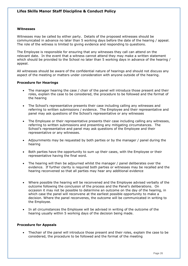### **Witnesses**

Witnesses may be called by either party. Details of the proposed witnesses should be communicated in advance no later than 5 working days before the date of the hearing / appeal. The role of the witness is limited to giving evidence and responding to questions.

The Employee is responsible for ensuring that any witnesses they call can attend on the relevant date. In the event that a witness cannot attend they may make a written statement which should be provided to the School no later than 5 working days in advance of the hearing / appeal.

All witnesses should be aware of the confidential nature of hearings and should not discuss any aspect of the meeting or matters under consideration with anyone outside of the hearing.

### **Procedure for Hearings**

- The manager hearing the case / chair of the panel will introduce those present and their roles, explain the case to be considered, the procedure to be followed and the format of the hearing
- The School's representative presents their case including calling any witnesses and referring to written submissions / evidence. The Employee and their representative and panel may ask questions of the School's representative or any witnesses
- The Employee or their representative presents their case including calling any witnesses, referring to written submissions and presenting any mitigating circumstances. The School's representative and panel may ask questions of the Employee and their representative or any witnesses.
- Adjournments may be requested by both parties or by the manager / panel during the hearing
- Both parties have the opportunity to sum up their cases, with the Employee or their representative having the final word.
- The hearing will then be adjourned whilst the manager / panel deliberates over the evidence. If further clarity is required both parties or witnesses may be recalled and the hearing reconvened so that all parties may hear any additional evidence
- Where possible the hearing will be reconvened and the Employee advised verbally of the outcome following the conclusion of the process and the Panel's deliberations. On occasion it may not be possible to determine an outcome on the day of the hearing, in which case the panel will reconvene at the earliest possible opportunity to make a decision. Where the panel reconvenes, the outcome will be communicated in writing to the Employee.
- In all circumstances the Employee will be advised in writing of the outcome of the hearing usually within 5 working days of the decision being made.

#### **Procedure for Appeals**

• Thechair of the panel will introduce those present and their roles, explain the case to be considered, the procedure to be followed and the format of the meeting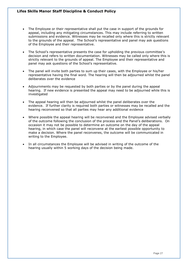- The Employee or their representative shall put the case in support of the grounds for appeal, including any mitigating circumstances. This may include referring to written submissions and evidence. Witnesses may be recalled only where this is strictly relevant to the grounds of the appeal. The School's representative and panel may ask questions of the Employee and their representative.
- The School's representative presents the case for upholding the previous committee's decision and refers to written documentation. Witnesses may be called only where this is strictly relevant to the grounds of appeal. The Employee and their representative and panel may ask questions of the School's representative.
- The panel will invite both parties to sum up their cases, with the Employee or his/her representative having the final word. The hearing will then be adjourned whilst the panel deliberates over the evidence
- Adjournments may be requested by both parties or by the panel during the appeal hearing. If new evidence is presented the appeal may need to be adjourned while this is investigated
- The appeal hearing will then be adjourned whilst the panel deliberates over the evidence. If further clarity is required both parties or witnesses may be recalled and the hearing reconvened so that all parties may hear any additional evidence
- Where possible the appeal hearing will be reconvened and the Employee advised verbally of the outcome following the conclusion of the process and the Panel's deliberations. On occasion it may not be possible to determine an outcome on the day of the appeal hearing, in which case the panel will reconvene at the earliest possible opportunity to make a decision. Where the panel reconvenes, the outcome will be communicated in writing to the Employee.
- In all circumstances the Employee will be advised in writing of the outcome of the hearing usually within 5 working days of the decision being made.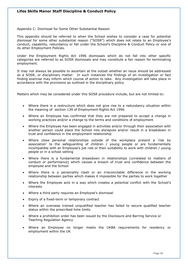Appendix C: Dismissal for Some Other Substantial Reason

This appendix should be referred to when the School wishes to consider a case for potential dismissal for some other substantial reason ("SOSR") which does not relate to an Employee's conduct, capability, redundancy or fall under the School's Discipline & Conduct Policy or one of its other Employment Policies.

Under the Employment Rights Act 1996 dismissals which do not fall into other specific categories are referred to as SOSR dismissals and may constitute a fair reason for terminating employment.

It may not always be possible to ascertain at the outset whether an issue should be addressed as a SOSR, or disciplinary matter. In such instances the findings of an investigation or fact finding exercise may inform which course of action to take. Any investigation will take place in accordance with the provisions as outlined in the disciplinary policy.

Matters which may be considered under this SOSR procedure include, but are not limited to:

- Where there is a restructure which does not give rise to a redundancy situation within the meaning of section 139 of Employment Rights Act 1996
- Where an Employee has confirmed that they are not prepared to accept a change in working practices and/or a change to the terms and conditions of employment
- Where the Employee has been engaged in activities and/or through their association with another person could place the School into disrepute and/or result in a breakdown in trust and confidence in the employment relationship
- Where close personal relationships outside of the workplace present a 'risk by association' to the safeguarding of children / young people or are fundamentally incompatible with an Employee's job role or their suitability to work with children / young people or in a school setting
- Where there is a fundamental breakdown in relationships (unrelated to matters of conduct or performance) which causes a breach of trust and confidence between the employee and the School
- Where there is a personality clash or an irreconcilable difference in the working relationship between parties which makes it impossible for the parties to work together
- Where the Employee acts in a way which creates a potential conflict with the School's interests
- Where a third party requires an Employee's dismissal
- Expiry of a fixed-term or temporary contract
- Where an overseas trained unqualified teacher has failed to secure qualified teacher status within the prescribed time limits
- Where a prohibition order has been issued by the Disclosure and Barring Service or Teaching Regulation Agency
- Where an Employee no longer meets the UKBA requirements for residency or employment within the UK